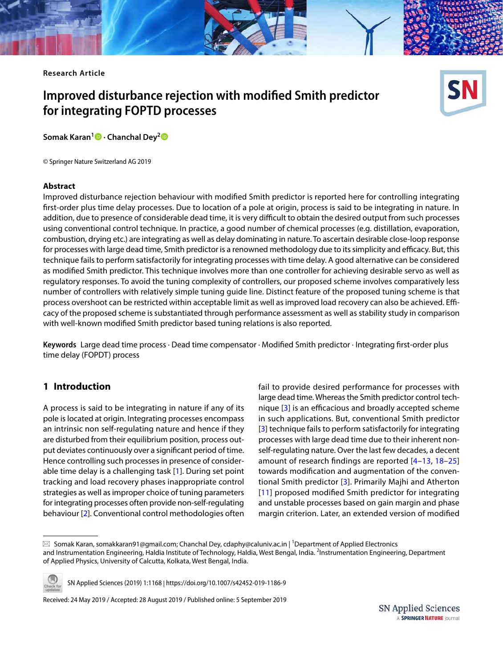**Research Article**

# **Improved disturbance rejection with modified Smith predictor for integrating FOPTD processes**



© Springer Nature Switzerland AG 2019

#### **Abstract**

Improved disturbance rejection behaviour with modified Smith predictor is reported here for controlling integrating first-order plus time delay processes. Due to location of a pole at origin, process is said to be integrating in nature. In addition, due to presence of considerable dead time, it is very difficult to obtain the desired output from such processes using conventional control technique. In practice, a good number of chemical processes (e.g. distillation, evaporation, combustion, drying etc.) are integrating as well as delay dominating in nature. To ascertain desirable close-loop response for processes with large dead time, Smith predictor is a renowned methodology due to its simplicity and efficacy. But, this technique fails to perform satisfactorily for integrating processes with time delay. A good alternative can be considered as modified Smith predictor. This technique involves more than one controller for achieving desirable servo as well as regulatory responses. To avoid the tuning complexity of controllers, our proposed scheme involves comparatively less number of controllers with relatively simple tuning guide line. Distinct feature of the proposed tuning scheme is that process overshoot can be restricted within acceptable limit as well as improved load recovery can also be achieved. Efficacy of the proposed scheme is substantiated through performance assessment as well as stability study in comparison with well-known modified Smith predictor based tuning relations is also reported.

**Keywords** Large dead time process · Dead time compensator · Modified Smith predictor · Integrating first-order plus time delay (FOPDT) process

# **1 Introduction**

A process is said to be integrating in nature if any of its pole is located at origin. Integrating processes encompass an intrinsic non self-regulating nature and hence if they are disturbed from their equilibrium position, process output deviates continuously over a significant period of time. Hence controlling such processes in presence of considerable time delay is a challenging task [[1](#page-12-0)]. During set point tracking and load recovery phases inappropriate control strategies as well as improper choice of tuning parameters for integrating processes often provide non-self-regulating behaviour [[2\]](#page-12-1). Conventional control methodologies often

fail to provide desired performance for processes with large dead time. Whereas the Smith predictor control technique [[3](#page-12-2)] is an efficacious and broadly accepted scheme in such applications. But, conventional Smith predictor [[3](#page-12-2)] technique fails to perform satisfactorily for integrating processes with large dead time due to their inherent nonself-regulating nature. Over the last few decades, a decent amount of research findings are reported [\[4–](#page-12-3)[13](#page-12-4), [18–](#page-12-5)[25](#page-12-6)] towards modification and augmentation of the conventional Smith predictor [\[3\]](#page-12-2). Primarily Majhi and Atherton [[11\]](#page-12-7) proposed modified Smith predictor for integrating and unstable processes based on gain margin and phase margin criterion. Later, an extended version of modified

 $\boxtimes$  Somak Karan, somakkaran91@gmail.com; Chanchal Dey, cdaphy@caluniv.ac.in | <sup>1</sup>Department of Applied Electronics and Instrumentation Engineering, Haldia Institute of Technology, Haldia, West Bengal, India. <sup>2</sup>Instrumentation Engineering, Department of Applied Physics, University of Calcutta, Kolkata, West Bengal, India.



SN Applied Sciences (2019) 1:1168 | https://doi.org/10.1007/s42452-019-1186-9

Received: 24 May 2019 / Accepted: 28 August 2019 / Published online: 5 September 2019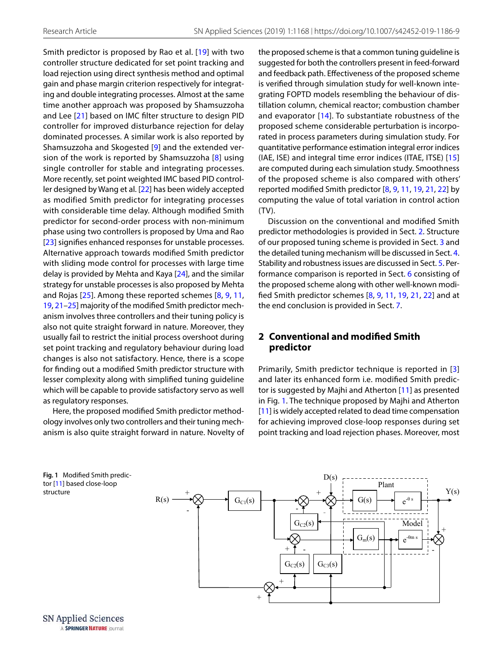Smith predictor is proposed by Rao et al. [\[19](#page-12-8)] with two controller structure dedicated for set point tracking and load rejection using direct synthesis method and optimal gain and phase margin criterion respectively for integrating and double integrating processes. Almost at the same time another approach was proposed by Shamsuzzoha and Lee [\[21](#page-12-9)] based on IMC filter structure to design PID controller for improved disturbance rejection for delay dominated processes. A similar work is also reported by Shamsuzzoha and Skogested [\[9](#page-12-10)] and the extended version of the work is reported by Shamsuzzoha [\[8\]](#page-12-11) using single controller for stable and integrating processes. More recently, set point weighted IMC based PID controller designed by Wang et al. [[22](#page-12-12)] has been widely accepted as modified Smith predictor for integrating processes with considerable time delay. Although modified Smith predictor for second-order process with non-minimum phase using two controllers is proposed by Uma and Rao [[23](#page-12-13)] signifies enhanced responses for unstable processes. Alternative approach towards modified Smith predictor with sliding mode control for processes with large time delay is provided by Mehta and Kaya [[24\]](#page-12-14), and the similar strategy for unstable processes is also proposed by Mehta and Rojas [[25\]](#page-12-6). Among these reported schemes [[8](#page-12-11), [9](#page-12-10), [11](#page-12-7), [19](#page-12-8), [21](#page-12-9)[–25](#page-12-6)] majority of the modified Smith predictor mechanism involves three controllers and their tuning policy is also not quite straight forward in nature. Moreover, they usually fail to restrict the initial process overshoot during set point tracking and regulatory behaviour during load changes is also not satisfactory. Hence, there is a scope for finding out a modified Smith predictor structure with lesser complexity along with simplified tuning guideline which will be capable to provide satisfactory servo as well as regulatory responses.

Here, the proposed modified Smith predictor methodology involves only two controllers and their tuning mechanism is also quite straight forward in nature. Novelty of the proposed scheme is that a common tuning guideline is suggested for both the controllers present in feed-forward and feedback path. Effectiveness of the proposed scheme is verified through simulation study for well-known integrating FOPTD models resembling the behaviour of distillation column, chemical reactor; combustion chamber and evaporator [\[14](#page-12-15)]. To substantiate robustness of the proposed scheme considerable perturbation is incorporated in process parameters during simulation study. For quantitative performance estimation integral error indices (IAE, ISE) and integral time error indices (ITAE, ITSE) [[15](#page-12-16)] are computed during each simulation study. Smoothness of the proposed scheme is also compared with others' reported modified Smith predictor [[8](#page-12-11), [9,](#page-12-10) [11](#page-12-7), [19,](#page-12-8) [21](#page-12-9), [22\]](#page-12-12) by computing the value of total variation in control action (TV).

Discussion on the conventional and modified Smith predictor methodologies is provided in Sect. [2.](#page-1-0) Structure of our proposed tuning scheme is provided in Sect. [3](#page-2-0) and the detailed tuning mechanism will be discussed in Sect. [4](#page-3-0). Stability and robustness issues are discussed in Sect. [5](#page-4-0). Performance comparison is reported in Sect. [6](#page-4-1) consisting of the proposed scheme along with other well-known modified Smith predictor schemes [\[8,](#page-12-11) [9,](#page-12-10) [11,](#page-12-7) [19,](#page-12-8) [21,](#page-12-9) [22\]](#page-12-12) and at the end conclusion is provided in Sect. [7](#page-11-0).

# <span id="page-1-0"></span>**2 Conventional and modified Smith predictor**

Primarily, Smith predictor technique is reported in [[3](#page-12-2)] and later its enhanced form i.e. modified Smith predictor is suggested by Majhi and Atherton [[11](#page-12-7)] as presented in Fig. [1.](#page-1-1) The technique proposed by Majhi and Atherton [[11](#page-12-7)] is widely accepted related to dead time compensation for achieving improved close-loop responses during set point tracking and load rejection phases. Moreover, most

<span id="page-1-1"></span>

 $G<sub>C2</sub>(s)$ -  $+$  1 - $G_{C1}(s)$  $G_{C2}(s)$  |  $G_{C3}(s)$  $G(s)$  $G_m(s)$  $e^{-\theta s}$ e -θm s  $R(s)$  $+\infty$   $\qquad \qquad \qquad +$ + - + -  $Y(s)$ Model Plant  $D(s)$ - +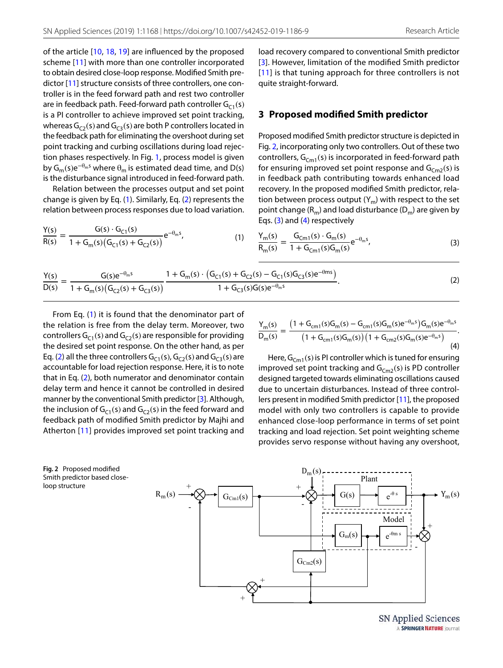of the article [\[10,](#page-12-17) [18,](#page-12-5) [19\]](#page-12-8) are influenced by the proposed scheme [[11](#page-12-7)] with more than one controller incorporated to obtain desired close-loop response. Modified Smith predictor [\[11\]](#page-12-7) structure consists of three controllers, one controller is in the feed forward path and rest two controller are in feedback path. Feed-forward path controller  $G_{C_1}(s)$ is a PI controller to achieve improved set point tracking, whereas  $G_{C2}(s)$  and  $G_{C3}(s)$  are both P controllers located in the feedback path for eliminating the overshoot during set point tracking and curbing oscillations during load rejection phases respectively. In Fig. [1,](#page-1-1) process model is given by  $G_m(s)e^{-\theta_m s}$  where  $\theta_m$  is estimated dead time, and D(s) is the disturbance signal introduced in feed-forward path.

Relation between the processes output and set point change is given by Eq. ([1\)](#page-2-1). Similarly, Eq. ([2\)](#page-2-2) represents the relation between process responses due to load variation.

$$
\frac{Y(s)}{R(s)} = \frac{G(s) \cdot G_{C1}(s)}{1 + G_m(s) (G_{C1}(s) + G_{C2}(s))} e^{-\theta_m s},\tag{1}
$$

load recovery compared to conventional Smith predictor [[3](#page-12-2)]. However, limitation of the modified Smith predictor [[11\]](#page-12-7) is that tuning approach for three controllers is not quite straight-forward.

## <span id="page-2-0"></span>**3 Proposed modified Smith predictor**

Proposed modified Smith predictor structure is depicted in Fig. [2](#page-2-3), incorporating only two controllers. Out of these two controllers,  $G_{Cm1}(s)$  is incorporated in feed-forward path for ensuring improved set point response and  $G<sub>Cm2</sub>(s)$  is in feedback path contributing towards enhanced load recovery. In the proposed modified Smith predictor, relation between process output  $(Y_m)$  with respect to the set point change  $(R_m)$  and load disturbance  $(D_m)$  are given by Eqs. ([3\)](#page-2-4) and ([4](#page-2-5)) respectively

<span id="page-2-4"></span><span id="page-2-2"></span><span id="page-2-1"></span>
$$
\frac{Y_{m}(s)}{R_{m}(s)} = \frac{G_{Cm1}(s) \cdot G_{m}(s)}{1 + G_{Cm1}(s)G_{m}(s)} e^{-\theta_{m}s},
$$
\n(3)

$$
\frac{Y(s)}{D(s)} = \frac{G(s)e^{-\theta_m s}}{1 + G_m(s)\left(G_{C2}(s) + G_{C3}(s)\right)} \frac{1 + G_m(s) \cdot \left(G_{C1}(s) + G_{C2}(s) - G_{C1}(s)G_{C3}(s)e^{-\theta_m s}\right)}{1 + G_{C3}(s)G(s)e^{-\theta_m s}}.
$$
\n(2)

From Eq. ([1](#page-2-1)) it is found that the denominator part of the relation is free from the delay term. Moreover, two controllers  $G_{C1}(s)$  and  $G_{C2}(s)$  are responsible for providing the desired set point response. On the other hand, as per Eq. [\(2\)](#page-2-2) all the three controllers  $G_{C1}(s)$ ,  $G_{C2}(s)$  and  $G_{C3}(s)$  are accountable for load rejection response. Here, it is to note that in Eq. ([2](#page-2-2)), both numerator and denominator contain delay term and hence it cannot be controlled in desired manner by the conventional Smith predictor [\[3\]](#page-12-2). Although, the inclusion of  $G<sub>C1</sub>(s)$  and  $G<sub>C2</sub>(s)$  in the feed forward and feedback path of modified Smith predictor by Majhi and Atherton [\[11\]](#page-12-7) provides improved set point tracking and

<span id="page-2-5"></span>
$$
\frac{Y_m(s)}{D_m(s)} = \frac{\left(1 + G_{cm1}(s)G_m(s) - G_{cm1}(s)G_m(s)e^{-\theta_m s}\right)G_m(s)e^{-\theta_m s}}{\left(1 + G_{cm1}(s)G_m(s)\right)\left(1 + G_{cm2}(s)G_m(s)e^{-\theta_m s}\right)}.
$$
\n(4)

Here,  $G_{Cm1}(s)$  is PI controller which is tuned for ensuring improved set point tracking and  $G_{Cm2}(s)$  is PD controller designed targeted towards eliminating oscillations caused due to uncertain disturbances. Instead of three controllers present in modified Smith predictor [\[11](#page-12-7)], the proposed model with only two controllers is capable to provide enhanced close-loop performance in terms of set point tracking and load rejection. Set point weighting scheme provides servo response without having any overshoot,

<span id="page-2-3"></span>**Fig. 2** Proposed modified Smith predictor based closeloop structure



**SN Applied Sciences** A SPRINGER NATURE journal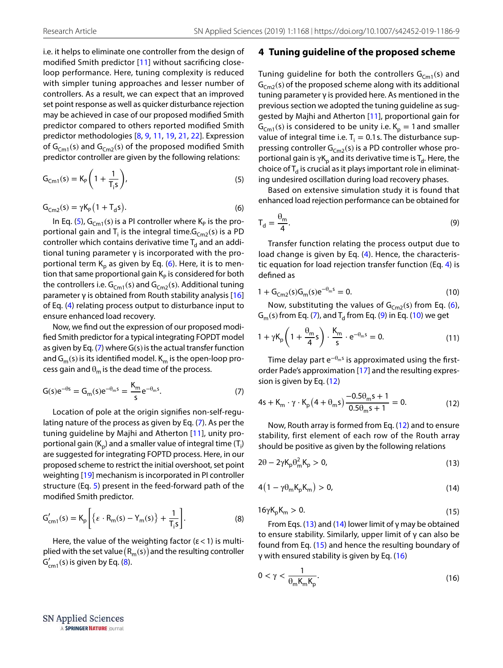i.e. it helps to eliminate one controller from the design of modified Smith predictor [\[11\]](#page-12-7) without sacrificing closeloop performance. Here, tuning complexity is reduced with simpler tuning approaches and lesser number of controllers. As a result, we can expect that an improved set point response as well as quicker disturbance rejection may be achieved in case of our proposed modified Smith predictor compared to others reported modified Smith predictor methodologies [[8](#page-12-11), [9,](#page-12-10) [11,](#page-12-7) [19,](#page-12-8) [21,](#page-12-9) [22](#page-12-12)]. Expression of  $G_{Cm1}(s)$  and  $G_{Cm2}(s)$  of the proposed modified Smith predictor controller are given by the following relations:

$$
G_{\text{cm1}}(s) = K_{\text{P}} \left( 1 + \frac{1}{T_{\text{i}}s} \right),\tag{5}
$$

$$
G_{\text{cm2}}(s) = \gamma K_{\text{P}} \left( 1 + T_{\text{d}} s \right). \tag{6}
$$

In Eq. ([5](#page-3-1)),  $G_{\text{Cm1}}(s)$  is a PI controller where  $\mathsf{K}_{\mathsf{P}}$  is the proportional gain and  $T_i$  is the integral time. $G_{Cm2}(s)$  is a PD controller which contains derivative time  $\mathsf{T}_{\mathsf{d}}$  and an additional tuning parameter γ is incorporated with the pro-portional term K<sub>p</sub> as given by Eq. ([6](#page-3-2)). Here, it is to mention that same proportional gain  $K_p$  is considered for both the controllers i.e.  $G_{Cm1}(s)$  and  $G_{Cm2}(s)$ . Additional tuning parameter  $\gamma$  is obtained from Routh stability analysis [[16](#page-12-18)] of Eq. ([4](#page-2-5)) relating process output to disturbance input to ensure enhanced load recovery.

Now, we find out the expression of our proposed modified Smith predictor for a typical integrating FOPDT model as given by Eq.  $(7)$  $(7)$  where G(s) is the actual transfer function and  $G_m(s)$  is its identified model.  $K_m$  is the open-loop process gain and  $\theta_m$  is the dead time of the process.

$$
G(s)e^{-\theta s} = G_m(s)e^{-\theta_m s} = \frac{K_m}{s}e^{-\theta_m s}.
$$
 (7)

Location of pole at the origin signifies non-self-regulating nature of the process as given by Eq. [\(7\)](#page-3-3). As per the tuning guideline by Majhi and Atherton [\[11\]](#page-12-7), unity proportional gain (K<sub>p</sub>) and a smaller value of integral time (T<sub>i</sub>) are suggested for integrating FOPTD process. Here, in our proposed scheme to restrict the initial overshoot, set point weighting [[19\]](#page-12-8) mechanism is incorporated in PI controller structure (Eq. [5\)](#page-3-1) present in the feed-forward path of the modified Smith predictor.

$$
G'_{cm1}(s) = K_p \left[ \left\{ \varepsilon \cdot R_m(s) - Y_m(s) \right\} + \frac{1}{T_i s} \right].
$$
 (8)

Here, the value of the weighting factor ( $\varepsilon$  < 1) is multiplied with the set value  $(R_m(s))$  and the resulting controller  $G'_{cm1}(s)$  is given by Eq. [\(8](#page-3-4)).

#### <span id="page-3-0"></span>**4 Tuning guideline of the proposed scheme**

Tuning guideline for both the controllers  $G_{cm1}(s)$  and  $G<sub>Cm2</sub>(s)$  of the proposed scheme along with its additional tuning parameter γ is provided here. As mentioned in the previous section we adopted the tuning guideline as suggested by Majhi and Atherton [[11](#page-12-7)], proportional gain for  $G<sub>cm1</sub>(s)$  is considered to be unity i.e.  $K<sub>p</sub> = 1$  and smaller value of integral time i.e.  $T_i = 0.1$  s. The disturbance suppressing controller  $G_{Cm2}(s)$  is a PD controller whose proportional gain is  $\gamma$ K<sub>p</sub> and its derivative time is T<sub>d</sub>. Here, the choice of  $T_{\rm d}$  is crucial as it plays important role in eliminating undesired oscillation during load recovery phases.

<span id="page-3-1"></span>Based on extensive simulation study it is found that enhanced load rejection performance can be obtained for

<span id="page-3-5"></span><span id="page-3-2"></span>
$$
T_d = \frac{\theta_m}{4}.\tag{9}
$$

Transfer function relating the process output due to load change is given by Eq. [\(4\)](#page-2-5). Hence, the characteristic equation for load rejection transfer function (Eq. [4](#page-2-5)) is defined as

<span id="page-3-6"></span>
$$
1 + G_{\text{cm2}}(s)G_{\text{m}}(s)e^{-\theta_{\text{m}}s} = 0. \tag{10}
$$

Now, substituting the values of  $G_{Cm2}(s)$  from Eq. ([6](#page-3-2)),  $G<sub>m</sub>(s)$  from Eq. ([7\)](#page-3-3), and  $T<sub>d</sub>$  from Eq. ([9\)](#page-3-5) in Eq. [\(10\)](#page-3-6) we get

$$
1 + \gamma K_p \left( 1 + \frac{\theta_m}{4} s \right) \cdot \frac{K_m}{s} \cdot e^{-\theta_m s} = 0. \tag{11}
$$

Time delay part  $e^{-\theta_m s}$  is approximated using the firstorder Pade's approximation [\[17\]](#page-12-19) and the resulting expression is given by Eq. ([12\)](#page-3-7)

<span id="page-3-7"></span><span id="page-3-3"></span>
$$
4s + K_m \cdot \gamma \cdot K_p \left( 4 + \theta_m s \right) \frac{-0.5 \theta_m s + 1}{0.5 \theta_m s + 1} = 0. \tag{12}
$$

Now, Routh array is formed from Eq. ([12](#page-3-7)) and to ensure stability, first element of each row of the Routh array should be positive as given by the following relations

<span id="page-3-8"></span>
$$
2\theta - 2\gamma K_p \theta_m^2 K_p > 0,
$$
\n(13)

<span id="page-3-9"></span>
$$
4(1 - \gamma \theta_m K_p K_m) > 0,
$$
\n(14)

<span id="page-3-10"></span>
$$
16\gamma K_p K_m > 0. \tag{15}
$$

<span id="page-3-4"></span>From Eqs. ([13](#page-3-8)) and [\(14\)](#page-3-9) lower limit of  $\gamma$  may be obtained to ensure stability. Similarly, upper limit of γ can also be found from Eq. ([15](#page-3-10)) and hence the resulting boundary of γ with ensured stability is given by Eq. [\(16](#page-3-11))

<span id="page-3-11"></span>
$$
0 < \gamma < \frac{1}{\theta_m K_m K_p}.\tag{16}
$$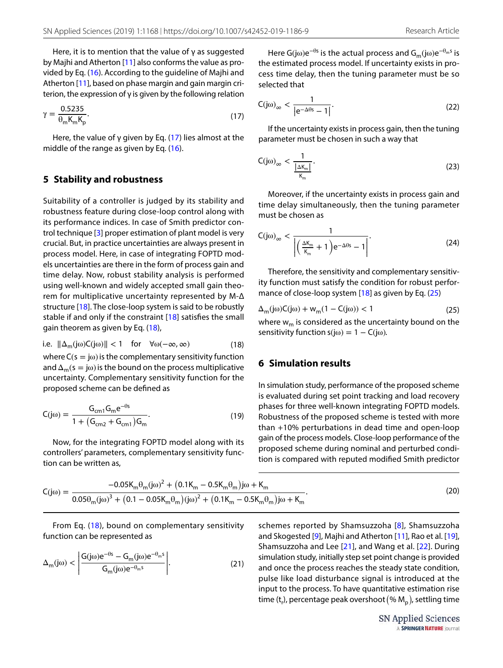Here, it is to mention that the value of  $\gamma$  as suggested by Majhi and Atherton [[11\]](#page-12-7) also conforms the value as provided by Eq. [\(16\)](#page-3-11). According to the guideline of Majhi and Atherton [[11](#page-12-7)], based on phase margin and gain margin criterion, the expression of γ is given by the following relation

$$
\gamma = \frac{0.5235}{\theta_{\rm m} \mathsf{K}_{\rm m} \mathsf{K}_{\rm p}}.\tag{17}
$$

Here, the value of  $\gamma$  given by Eq. ([17](#page-4-2)) lies almost at the middle of the range as given by Eq. [\(16](#page-3-11)).

### <span id="page-4-0"></span>**5 Stability and robustness**

Suitability of a controller is judged by its stability and robustness feature during close-loop control along with its performance indices. In case of Smith predictor control technique [\[3](#page-12-2)] proper estimation of plant model is very crucial. But, in practice uncertainties are always present in process model. Here, in case of integrating FOPTD models uncertainties are there in the form of process gain and time delay. Now, robust stability analysis is performed using well-known and widely accepted small gain theorem for multiplicative uncertainty represented by M-Δ structure [[18\]](#page-12-5). The close-loop system is said to be robustly stable if and only if the constraint [[18](#page-12-5)] satisfies the small gain theorem as given by Eq. [\(18](#page-4-3)),

i.e. 
$$
\|\Delta_m(j\omega)C(j\omega)\| < 1
$$
 for  $\forall \omega(-\infty, \infty)$  (18)

where  $C(s = j\omega)$  is the complementary sensitivity function and  $\Delta_{\rm m}(s = j\omega)$  is the bound on the process multiplicative uncertainty. Complementary sensitivity function for the proposed scheme can be defined as

$$
C(j\omega) = \frac{G_{cm1}G_{m}e^{-\theta s}}{1 + (G_{cm2} + G_{cm1})G_{m}}.
$$
\n(19)

Now, for the integrating FOPTD model along with its controllers' parameters, complementary sensitivity function can be written as,

Here G(j $\omega$ )e<sup>- $\theta$ s</sup> is the actual process and G<sub>m</sub>(j $\omega$ )e<sup>- $\theta$ <sub>m</sub>s is</sup> the estimated process model. If uncertainty exists in process time delay, then the tuning parameter must be so selected that

<span id="page-4-5"></span>
$$
C(j\omega)_{\infty} < \frac{1}{\left|e^{-\Delta\theta s} - 1\right|}.\tag{22}
$$

<span id="page-4-2"></span>If the uncertainty exists in process gain, then the tuning parameter must be chosen in such a way that

<span id="page-4-6"></span>
$$
C(j\omega)_{\infty} < \frac{1}{\frac{|\Delta K_{m}|}{K_{m}}}.\tag{23}
$$

Moreover, if the uncertainty exists in process gain and time delay simultaneously, then the tuning parameter must be chosen as

<span id="page-4-7"></span>
$$
C(j\omega)_{\infty} < \frac{1}{\left| \left( \frac{\Delta K_m}{K_m} + 1 \right) e^{-\Delta \theta s} - 1 \right|}.
$$
 (24)

Therefore, the sensitivity and complementary sensitivity function must satisfy the condition for robust performance of close-loop system [[18\]](#page-12-5) as given by Eq. [\(25\)](#page-4-4)

<span id="page-4-4"></span>
$$
\Delta_{m}(j\omega)C(j\omega) + w_{m}(1 - C(j\omega)) < 1
$$
\n(25)

<span id="page-4-3"></span>where  $w_m$  is considered as the uncertainty bound on the sensitivity function  $s(j\omega) = 1 - C(j\omega)$ .

## <span id="page-4-1"></span>**6 Simulation results**

In simulation study, performance of the proposed scheme is evaluated during set point tracking and load recovery phases for three well-known integrating FOPTD models. Robustness of the proposed scheme is tested with more than +10% perturbations in dead time and open-loop gain of the process models. Close-loop performance of the proposed scheme during nominal and perturbed condition is compared with reputed modified Smith predictor

$$
C(j\omega) = \frac{-0.05K_m\theta_m(j\omega)^2 + (0.1K_m - 0.5K_m\theta_m)j\omega + K_m}{0.05\theta_m(j\omega)^3 + (0.1 - 0.05K_m\theta_m)(j\omega)^2 + (0.1K_m - 0.5K_m\theta_m)j\omega + K_m}.
$$
\n(20)

From Eq. ([18\)](#page-4-3), bound on complementary sensitivity function can be represented as

$$
\Delta_{m}(j\omega) < \left| \frac{G(j\omega)e^{-\theta s} - G_{m}(j\omega)e^{-\theta_{m}s}}{G_{m}(j\omega)e^{-\theta_{m}s}} \right|.
$$
\n(21)

schemes reported by Shamsuzzoha [\[8\]](#page-12-11), Shamsuzzoha and Skogested [\[9\]](#page-12-10), Majhi and Atherton [\[11](#page-12-7)], Rao et al. [\[19](#page-12-8)], Shamsuzzoha and Lee [[21](#page-12-9)], and Wang et al. [[22](#page-12-12)]. During simulation study, initially step set point change is provided and once the process reaches the steady state condition, pulse like load disturbance signal is introduced at the input to the process. To have quantitative estimation rise time (t<sub>r</sub>), percentage peak overshoot (%  $M_{\rm p}$ ), settling time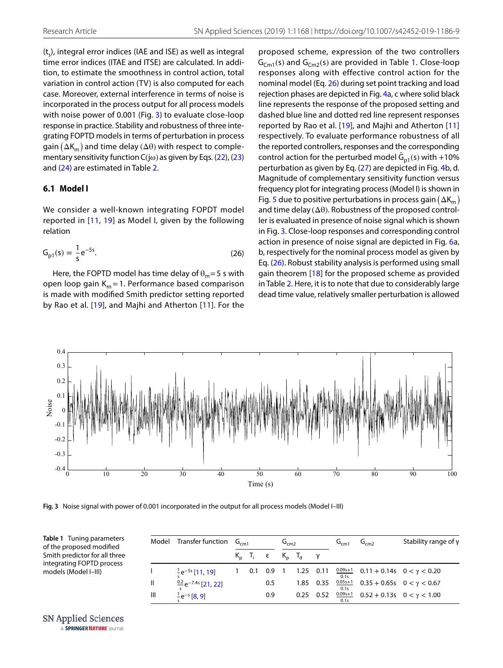$(t_{s})$ , integral error indices (IAE and ISE) as well as integral time error indices (ITAE and ITSE) are calculated. In addition, to estimate the smoothness in control action, total variation in control action (TV) is also computed for each case. Moreover, external interference in terms of noise is incorporated in the process output for all process models with noise power of 0.001 (Fig. [3](#page-5-0)) to evaluate close-loop response in practice. Stability and robustness of three integrating FOPTD models in terms of perturbation in process gain  $(\Delta K_m)$  and time delay  $(\Delta \theta)$  with respect to complementary sensitivity function  $C(i\omega)$  as given by Eqs. ([22\)](#page-4-5), [\(23](#page-4-6)) and [\(24](#page-4-7)) are estimated in Table [2.](#page-7-0)

## **6.1 Model I**

We consider a well-known integrating FOPDT model reported in [[11](#page-12-7), [19](#page-12-8)] as Model I, given by the following relation

<span id="page-5-2"></span>
$$
G_{p1}(s) = \frac{1}{s}e^{-5s}.
$$
 (26)

Here, the FOPTD model has time delay of  $\theta_m = 5$  s with open loop gain  $K_m = 1$ . Performance based comparison is made with modified Smith predictor setting reported by Rao et al. [[19](#page-12-8)], and Majhi and Atherton [[11](#page-12-7)]. For the proposed scheme, expression of the two controllers  $G<sub>Cm1</sub>(s)$  and  $G<sub>Cm2</sub>(s)$  are provided in Table [1.](#page-5-1) Close-loop responses along with effective control action for the nominal model (Eq. [26\)](#page-5-2) during set point tracking and load rejection phases are depicted in Fig. [4a](#page-6-0), c where solid black line represents the response of the proposed setting and dashed blue line and dotted red line represent responses reported by Rao et al. [\[19\]](#page-12-8), and Majhi and Atherton [[11](#page-12-7)] respectively. To evaluate performance robustness of all the reported controllers, responses and the corresponding control action for the perturbed model  $\hat{G}_{p1}(s)$  with +10% perturbation as given by Eq. ([27](#page-6-1)) are depicted in Fig. [4](#page-6-0)b, d. Magnitude of complementary sensitivity function versus frequency plot for integrating process (Model I) is shown in Fig. [5](#page-6-2) due to positive perturbations in process gain  $(\Delta K_m)$ and time delay  $(\Delta\theta)$ . Robustness of the proposed controller is evaluated in presence of noise signal which is shown in Fig. [3.](#page-5-0) Close-loop responses and corresponding control action in presence of noise signal are depicted in Fig. [6](#page-7-1)a, b, respectively for the nominal process model as given by Eq. ([26\)](#page-5-2). Robust stability analysis is performed using small gain theorem [\[18\]](#page-12-5) for the proposed scheme as provided in Table [2.](#page-7-0) Here, it is to note that due to considerably large dead time value, relatively smaller perturbation is allowed



<span id="page-5-0"></span>**Fig. 3** Noise signal with power of 0.001 incorporated in the output for all process models (Model I–III)

<span id="page-5-1"></span>

| Table 1 Tuning parameters<br>of the proposed modified<br>Smith predictor for all three<br>integrating FOPTD process<br>models (Model I-III) | Model | Transfer function $G_{cm1}$       |             |     |     | $G_{cm2}$   |                         |      | $G_{cm1}$   | G <sub>cm2</sub>                                     | Stability range of $\gamma$                          |  |
|---------------------------------------------------------------------------------------------------------------------------------------------|-------|-----------------------------------|-------------|-----|-----|-------------|-------------------------|------|-------------|------------------------------------------------------|------------------------------------------------------|--|
|                                                                                                                                             |       |                                   | $K_n$ $T_i$ |     |     |             | $K_{\rm o}$ $T_{\rm d}$ |      |             |                                                      |                                                      |  |
|                                                                                                                                             |       | $^{1}$ e <sup>-5s</sup> [11, 19]  | 0.1         | 0.9 |     | $1.25$ 0.11 |                         |      |             | $\frac{0.095+1}{2}$ 0.11 + 0.14s 0 < $\gamma$ < 0.20 |                                                      |  |
|                                                                                                                                             |       | $\frac{0.2}{2}e^{-7.4s}$ [21, 22] |             |     | 0.5 |             | 1.85                    | 0.35 | $0.05s + 1$ |                                                      | $0.35 + 0.65s$ $0 < \gamma < 0.67$                   |  |
|                                                                                                                                             | Ш     | $\frac{1}{2}e^{-s}$ [8, 9]        |             |     | 0.9 |             | 0.25                    | 0.52 | 0.1s        |                                                      | $\frac{0.09s+1}{s}$ 0.52 + 0.13s 0 < $\gamma$ < 1.00 |  |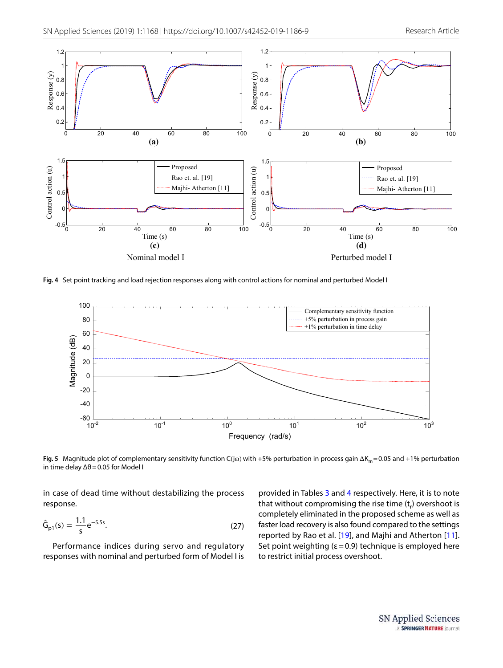

<span id="page-6-0"></span>**Fig. 4** Set point tracking and load rejection responses along with control actions for nominal and perturbed Model I



<span id="page-6-2"></span>**Fig. 5** Magnitude plot of complementary sensitivity function C(jω) with +5% perturbation in process gain ΔK<sub>m</sub> = 0.05 and +1% perturbation in time delay  $Δθ = 0.05$  for Model I

in case of dead time without destabilizing the process response.

$$
\hat{G}_{p1}(s) = \frac{1.1}{s} e^{-5.5s}.
$$
 (27)

Performance indices during servo and regulatory responses with nominal and perturbed form of Model I is <span id="page-6-1"></span>provided in Tables [3](#page-7-2) and [4](#page-8-0) respectively. Here, it is to note that without compromising the rise time  $(t<sub>r</sub>)$  overshoot is completely eliminated in the proposed scheme as well as faster load recovery is also found compared to the settings reported by Rao et al. [\[19\]](#page-12-8), and Majhi and Atherton [[11](#page-12-7)]. Set point weighting ( $\varepsilon$  = 0.9) technique is employed here to restrict initial process overshoot.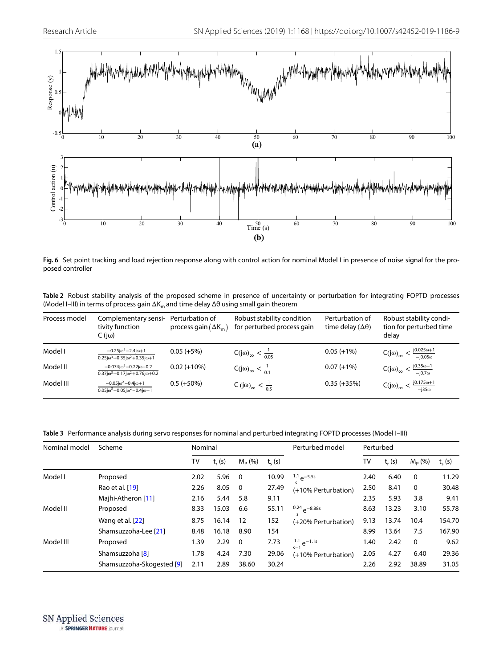

<span id="page-7-1"></span>**Fig. 6** Set point tracking and load rejection response along with control action for nominal Model I in presence of noise signal for the proposed controller

<span id="page-7-0"></span>**Table 2** Robust stability analysis of the proposed scheme in presence of uncertainty or perturbation for integrating FOPTD processes (Model I–III) in terms of process gain  $\Delta K_m$  and time delay  $\Delta \theta$  using small gain theorem

| Process model | Complementary sensi-<br>tivity function<br>$C$ (jω)                                                    | Perturbation of<br>process gain $(\Delta K_m)$ | Robust stability condition<br>for perturbed process gain | Perturbation of<br>time delay ( $\Delta\theta$ ) | Robust stability condi-<br>tion for perturbed time<br>delav    |
|---------------|--------------------------------------------------------------------------------------------------------|------------------------------------------------|----------------------------------------------------------|--------------------------------------------------|----------------------------------------------------------------|
| Model I       | $-0.25j\omega^2 - 2.4j\omega + 1$<br>$0.25j\omega^3 + 0.35j\omega^2 + 0.35j\omega + 1$                 | $0.05 (+5%)$                                   | $C(j\omega)_{\infty} < \frac{1}{0.05}$                   | $0.05 (+1%)$                                     | $C(j\omega)_{\infty} < \frac{j0.025\omega + 1}{-j0.05\omega}$  |
| Model II      | $-0.074j\omega^2 - 0.72j\omega + 0.2$<br>$0.37$ j $\omega^3$ + 0.17j $\omega^2$ + 0.76j $\omega$ + 0.2 | $0.02 (+10%)$                                  | $C(j\omega)_{\infty} < \frac{1}{0.1}$                    | $0.07 (+1%)$                                     | $\frac{j0.35\omega+1}{-j0.7\omega}$<br>$C(j\omega)_{\infty}$ < |
| Model III     | $-0.05j\omega^2 - 0.4j\omega + 1$<br>$0.05j\omega^3 - 0.05j\omega^2 - 0.4j\omega + 1$                  | $0.5 (+50\%)$                                  | $C(j\omega)_{\infty} < \frac{1}{0.5}$                    | $0.35 (+35%)$                                    | $C(j\omega)_{\infty} < \frac{j0.175\omega + 1}{-j35\omega}$    |

<span id="page-7-2"></span>**Table 3** Performance analysis during servo responses for nominal and perturbed integrating FOPTD processes (Model I–III)

| Nominal model | Scheme                    | Nominal |          |                |            | Perturbed model                     | Perturbed |          |             |            |
|---------------|---------------------------|---------|----------|----------------|------------|-------------------------------------|-----------|----------|-------------|------------|
|               |                           | TV      | $t_r(s)$ | $M_{p}$ (%)    | $t_{c}(s)$ |                                     | TV        | $t_r(s)$ | $M_{p}$ (%) | $t_{s}(s)$ |
| Model I       | Proposed                  | 2.02    | 5.96     | $\overline{0}$ | 10.99      | $\frac{1.1}{2}e^{-5.5s}$            | 2.40      | 6.40     | 0           | 11.29      |
|               | Rao et al. [19]           | 2.26    | 8.05     | $\Omega$       | 27.49      | (+10% Perturbation)                 | 2.50      | 8.41     | $\Omega$    | 30.48      |
|               | Majhi-Atheron [11]        | 2.16    | 5.44     | 5.8            | 9.11       |                                     | 2.35      | 5.93     | 3.8         | 9.41       |
| Model II      | Proposed                  | 8.33    | 15.03    | 6.6            | 55.11      | $\frac{0.24}{0.25}e^{-8.88s}$       | 8.63      | 13.23    | 3.10        | 55.78      |
|               | Wang et al. [22]          | 8.75    | 16.14    | 12             | 152        | (+20% Perturbation)                 | 9.13      | 13.74    | 10.4        | 154.70     |
|               | Shamsuzzoha-Lee [21]      | 8.48    | 16.18    | 8.90           | 154        |                                     | 8.99      | 13.64    | 7.5         | 167.90     |
| Model III     | Proposed                  | 1.39    | 2.29     | $\Omega$       | 7.73       | $\frac{1.1}{1.1}e^{-1.1s}$<br>$s-1$ | 1.40      | 2.42     | 0           | 9.62       |
|               | Shamsuzzoha [8]           | 1.78    | 4.24     | 7.30           | 29.06      | (+10% Perturbation)                 | 2.05      | 4.27     | 6.40        | 29.36      |
|               | Shamsuzzoha-Skogested [9] | 2.11    | 2.89     | 38.60          | 30.24      |                                     | 2.26      | 2.92     | 38.89       | 31.05      |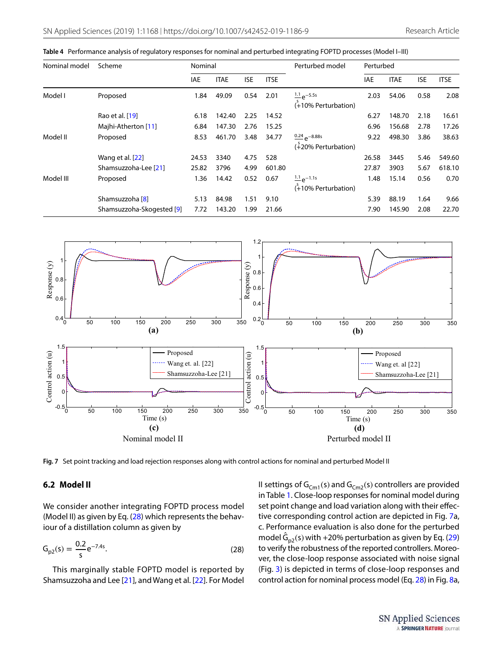<span id="page-8-0"></span>

|  | Table 4 Performance analysis of regulatory responses for nominal and perturbed integrating FOPTD processes (Model I–III) |
|--|--------------------------------------------------------------------------------------------------------------------------|
|--|--------------------------------------------------------------------------------------------------------------------------|

| Nominal model | Scheme                    | Nominal    |                           |      |             | Perturbed model                                   | Perturbed |             |            |             |
|---------------|---------------------------|------------|---------------------------|------|-------------|---------------------------------------------------|-----------|-------------|------------|-------------|
|               |                           | <b>IAE</b> | <b>ITAE</b><br><b>ISE</b> |      | <b>ITSE</b> |                                                   | IAE       | <b>ITAE</b> | <b>ISE</b> | <b>ITSE</b> |
| Model I       | Proposed                  | 1.84       | 49.09                     | 0.54 | 2.01        | $\frac{1.1}{2}e^{-5.5s}$<br>(+10% Perturbation)   | 2.03      | 54.06       | 0.58       | 2.08        |
|               | Rao et al. [19]           | 6.18       | 142.40                    | 2.25 | 14.52       |                                                   | 6.27      | 148.70      | 2.18       | 16.61       |
|               | Majhi-Atherton [11]       | 6.84       | 147.30                    | 2.76 | 15.25       |                                                   | 6.96      | 156.68      | 2.78       | 17.26       |
| Model II      | Proposed                  | 8.53       | 461.70                    | 3.48 | 34.77       | $\frac{0.24}{9}$ $-8.88$ s<br>(+20% Perturbation) | 9.22      | 498.30      | 3.86       | 38.63       |
|               | Wang et al. [22]          | 24.53      | 3340                      | 4.75 | 528         |                                                   | 26.58     | 3445        | 5.46       | 549.60      |
|               | Shamsuzzoha-Lee [21]      | 25.82      | 3796                      | 4.99 | 601.80      |                                                   | 27.87     | 3903        | 5.67       | 618.10      |
| Model III     | Proposed                  | 1.36       | 14.42                     | 0.52 | 0.67        | $1.1_{\Omega}$ -1.1s<br>$(*10\%$ Perturbation)    | 1.48      | 15.14       | 0.56       | 0.70        |
|               | Shamsuzzoha [8]           | 5.13       | 84.98                     | 1.51 | 9.10        |                                                   | 5.39      | 88.19       | 1.64       | 9.66        |
|               | Shamsuzzoha-Skogested [9] | 7.72       | 143.20                    | 1.99 | 21.66       |                                                   | 7.90      | 145.90      | 2.08       | 22.70       |



<span id="page-8-2"></span>**Fig. 7** Set point tracking and load rejection responses along with control actions for nominal and perturbed Model II

#### **6.2 Model II**

We consider another integrating FOPTD process model (Model II) as given by Eq. ([28](#page-8-1)) which represents the behaviour of a distillation column as given by

$$
G_{p2}(s) = \frac{0.2}{s} e^{-7.4s}.
$$
 (28)

This marginally stable FOPTD model is reported by Shamsuzzoha and Lee [[21](#page-12-9)], and Wang et al. [[22\]](#page-12-12). For Model <span id="page-8-1"></span>II settings of  $G_{Cm1}(s)$  and  $G_{Cm2}(s)$  controllers are provided in Table [1](#page-5-1). Close-loop responses for nominal model during set point change and load variation along with their effective corresponding control action are depicted in Fig. [7](#page-8-2)a, c. Performance evaluation is also done for the perturbed model  $\hat{G}_{p2}(s)$  with +20% perturbation as given by Eq. ([29](#page-9-0)) to verify the robustness of the reported controllers. Moreover, the close-loop response associated with noise signal (Fig. [3\)](#page-5-0) is depicted in terms of close-loop responses and control action for nominal process model (Eq. [28](#page-8-1)) in Fig. [8](#page-9-1)a,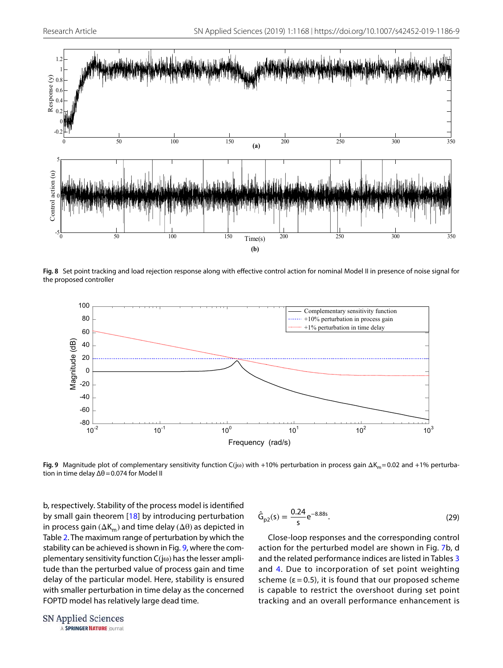

<span id="page-9-1"></span>**Fig. 8** Set point tracking and load rejection response along with effective control action for nominal Model II in presence of noise signal for the proposed controller



<span id="page-9-2"></span>**Fig. 9** Magnitude plot of complementary sensitivity function C(jω) with +10% perturbation in process gain ΔK<sub>m</sub> = 0.02 and +1% perturbation in time delay Δθ = 0.074 for Model II

b, respectively. Stability of the process model is identified by small gain theorem [[18](#page-12-5)] by introducing perturbation in process gain ( $\Delta K_m$ ) and time delay ( $\Delta \theta$ ) as depicted in Table [2](#page-7-0). The maximum range of perturbation by which the stability can be achieved is shown in Fig. [9](#page-9-2), where the complementary sensitivity function C(jω) has the lesser amplitude than the perturbed value of process gain and time delay of the particular model. Here, stability is ensured with smaller perturbation in time delay as the concerned FOPTD model has relatively large dead time.

<span id="page-9-0"></span>
$$
\hat{G}_{p2}(s) = \frac{0.24}{s} e^{-8.88s}.
$$
\n(29)

Close-loop responses and the corresponding control action for the perturbed model are shown in Fig. [7](#page-8-2)b, d and the related performance indices are listed in Tables [3](#page-7-2) and [4.](#page-8-0) Due to incorporation of set point weighting scheme ( $\varepsilon$  = 0.5), it is found that our proposed scheme is capable to restrict the overshoot during set point tracking and an overall performance enhancement is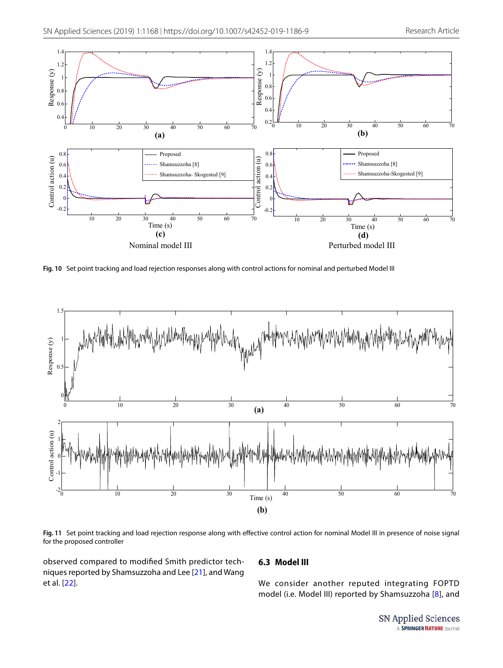

<span id="page-10-0"></span>**Fig. 10** Set point tracking and load rejection responses along with control actions for nominal and perturbed Model III



<span id="page-10-1"></span>**Fig. 11** Set point tracking and load rejection response along with effective control action for nominal Model III in presence of noise signal for the proposed controller

observed compared to modified Smith predictor techniques reported by Shamsuzzoha and Lee [\[21](#page-12-9)], and Wang et al. [[22](#page-12-12)].

## **6.3 Model III**

We consider another reputed integrating FOPTD model (i.e. Model III) reported by Shamsuzzoha [[8](#page-12-11)], and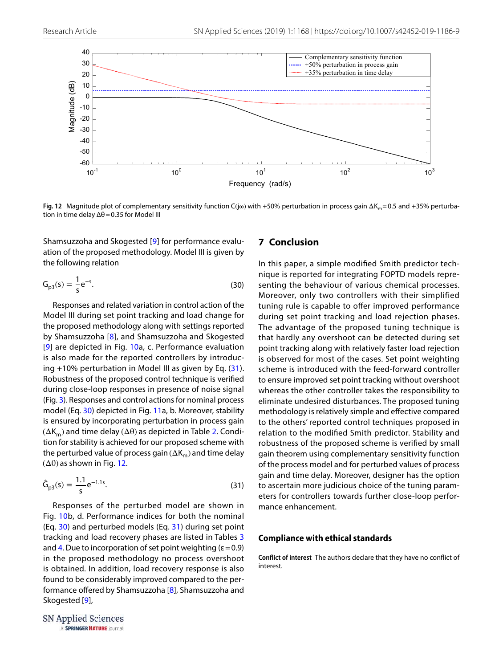

<span id="page-11-3"></span>**Fig. 12** Magnitude plot of complementary sensitivity function C(jω) with +50% perturbation in process gain ΔK<sub>m</sub> = 0.5 and +35% perturbation in time delay  $\Delta\theta$  = 0.35 for Model III

Shamsuzzoha and Skogested [[9\]](#page-12-10) for performance evaluation of the proposed methodology. Model III is given by the following relation

$$
G_{p3}(s) = \frac{1}{s}e^{-s}.
$$
 (30)

Responses and related variation in control action of the Model III during set point tracking and load change for the proposed methodology along with settings reported by Shamsuzzoha [[8](#page-12-11)], and Shamsuzzoha and Skogested [[9](#page-12-10)] are depicted in Fig. [10](#page-10-0)a, c. Performance evaluation is also made for the reported controllers by introducing +10% perturbation in Model III as given by Eq. ([31](#page-11-1)). Robustness of the proposed control technique is verified during close-loop responses in presence of noise signal (Fig. [3](#page-5-0)). Responses and control actions for nominal process model (Eq. [30\)](#page-11-2) depicted in Fig. [11a](#page-10-1), b. Moreover, stability is ensured by incorporating perturbation in process gain  $(\Delta K_m)$  and time delay  $(\Delta \theta)$  as depicted in Table [2](#page-7-0). Condition for stability is achieved for our proposed scheme with the perturbed value of process gain ( $\Delta K_m$ ) and time delay  $(\Delta\theta)$  as shown in Fig. [12](#page-11-3).

$$
\hat{G}_{p3}(s) = \frac{1.1}{s} e^{-1.1s}.
$$
\n(31)

Responses of the perturbed model are shown in Fig. [10](#page-10-0)b, d. Performance indices for both the nominal (Eq. [30\)](#page-11-2) and perturbed models (Eq. [31](#page-11-1)) during set point tracking and load recovery phases are listed in Tables [3](#page-7-2) and [4.](#page-8-0) Due to incorporation of set point weighting ( $\varepsilon$  = 0.9) in the proposed methodology no process overshoot is obtained. In addition, load recovery response is also found to be considerably improved compared to the performance offered by Shamsuzzoha [[8\]](#page-12-11), Shamsuzzoha and Skogested [[9](#page-12-10)],

## <span id="page-11-0"></span>**7 Conclusion**

<span id="page-11-2"></span>In this paper, a simple modified Smith predictor technique is reported for integrating FOPTD models representing the behaviour of various chemical processes. Moreover, only two controllers with their simplified tuning rule is capable to offer improved performance during set point tracking and load rejection phases. The advantage of the proposed tuning technique is that hardly any overshoot can be detected during set point tracking along with relatively faster load rejection is observed for most of the cases. Set point weighting scheme is introduced with the feed-forward controller to ensure improved set point tracking without overshoot whereas the other controller takes the responsibility to eliminate undesired disturbances. The proposed tuning methodology is relatively simple and effective compared to the others' reported control techniques proposed in relation to the modified Smith predictor. Stability and robustness of the proposed scheme is verified by small gain theorem using complementary sensitivity function of the process model and for perturbed values of process gain and time delay. Moreover, designer has the option to ascertain more judicious choice of the tuning parameters for controllers towards further close-loop performance enhancement.

#### <span id="page-11-1"></span>**Compliance with ethical standards**

**Conflict of interest** The authors declare that they have no conflict of interest.